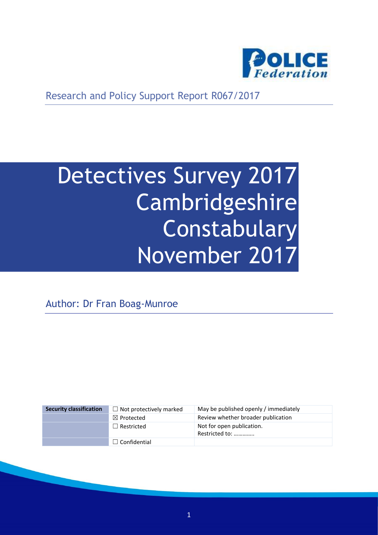

Research and Policy Support Report R067/2017

# Detectives Survey 2017 Cambridgeshire Constabulary November 2017

Author: Dr Fran Boag-Munroe

| <b>Security classification</b> | $\Box$ Not protectively marked | May be published openly / immediately       |
|--------------------------------|--------------------------------|---------------------------------------------|
|                                | $\boxtimes$ Protected          | Review whether broader publication          |
|                                | $\Box$ Restricted              | Not for open publication.<br>Restricted to: |
|                                | $\Box$ Confidential            |                                             |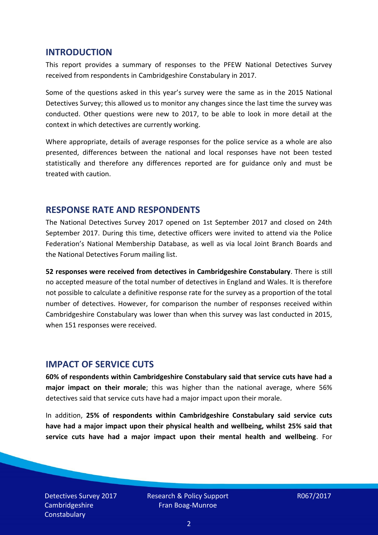#### **INTRODUCTION**

This report provides a summary of responses to the PFEW National Detectives Survey received from respondents in Cambridgeshire Constabulary in 2017.

Some of the questions asked in this year's survey were the same as in the 2015 National Detectives Survey; this allowed us to monitor any changes since the last time the survey was conducted. Other questions were new to 2017, to be able to look in more detail at the context in which detectives are currently working.

Where appropriate, details of average responses for the police service as a whole are also presented, differences between the national and local responses have not been tested statistically and therefore any differences reported are for guidance only and must be treated with caution.

#### **RESPONSE RATE AND RESPONDENTS**

The National Detectives Survey 2017 opened on 1st September 2017 and closed on 24th September 2017. During this time, detective officers were invited to attend via the Police Federation's National Membership Database, as well as via local Joint Branch Boards and the National Detectives Forum mailing list.

**52 responses were received from detectives in Cambridgeshire Constabulary**. There is still no accepted measure of the total number of detectives in England and Wales. It is therefore not possible to calculate a definitive response rate for the survey as a proportion of the total number of detectives. However, for comparison the number of responses received within Cambridgeshire Constabulary was lower than when this survey was last conducted in 2015, when 151 responses were received.

## **IMPACT OF SERVICE CUTS**

**60% of respondents within Cambridgeshire Constabulary said that service cuts have had a major impact on their morale**; this was higher than the national average, where 56% detectives said that service cuts have had a major impact upon their morale.

In addition, **25% of respondents within Cambridgeshire Constabulary said service cuts have had a major impact upon their physical health and wellbeing, whilst 25% said that service cuts have had a major impact upon their mental health and wellbeing**. For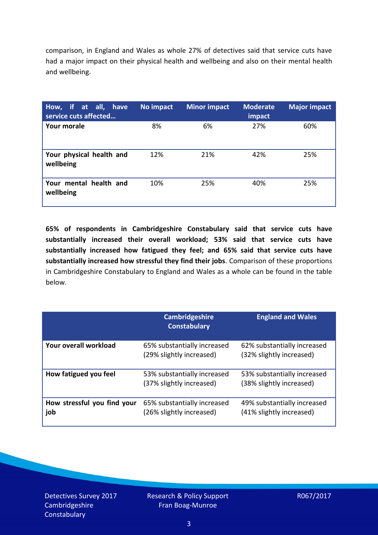comparison, in England and Wales as whole 27% of detectives said that service cuts have had a major impact on their physical health and wellbeing and also on their mental health and wellbeing.

| How, if at all, have<br>service cuts affected | No impact | <b>Minor impact</b> | <b>Moderate</b><br>impact | <b>Major impact</b> |
|-----------------------------------------------|-----------|---------------------|---------------------------|---------------------|
| Your morale                                   | 8%        | 6%                  | 27%                       | 60%                 |
| Your physical health and<br>wellbeing         | 12%       | 21%                 | 42%                       | 25%                 |
| Your mental health and<br>wellbeing           | 10%       | 25%                 | 40%                       | 25%                 |

**65% of respondents in Cambridgeshire Constabulary said that service cuts have substantially increased their overall workload; 53% said that service cuts have substantially increased how fatigued they feel; and 65% said that service cuts have substantially increased how stressful they find their jobs**. Comparison of these proportions in Cambridgeshire Constabulary to England and Wales as a whole can be found in the table below.

|                                    | <b>Cambridgeshire</b><br><b>Constabulary</b>            | <b>England and Wales</b>                                |
|------------------------------------|---------------------------------------------------------|---------------------------------------------------------|
| Your overall workload              | 65% substantially increased<br>(29% slightly increased) | 62% substantially increased<br>(32% slightly increased) |
| How fatigued you feel              | 53% substantially increased<br>(37% slightly increased) | 53% substantially increased<br>(38% slightly increased) |
| How stressful you find your<br>job | 65% substantially increased<br>(26% slightly increased) | 49% substantially increased<br>(41% slightly increased) |

Detectives Survey 2017 Cambridgeshire **Constabulary**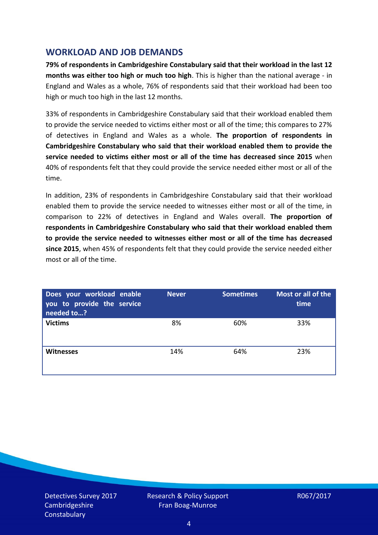## **WORKLOAD AND JOB DEMANDS**

**79% of respondents in Cambridgeshire Constabulary said that their workload in the last 12 months was either too high or much too high**. This is higher than the national average - in England and Wales as a whole, 76% of respondents said that their workload had been too high or much too high in the last 12 months.

33% of respondents in Cambridgeshire Constabulary said that their workload enabled them to provide the service needed to victims either most or all of the time; this compares to 27% of detectives in England and Wales as a whole. **The proportion of respondents in Cambridgeshire Constabulary who said that their workload enabled them to provide the service needed to victims either most or all of the time has decreased since 2015** when 40% of respondents felt that they could provide the service needed either most or all of the time.

In addition, 23% of respondents in Cambridgeshire Constabulary said that their workload enabled them to provide the service needed to witnesses either most or all of the time, in comparison to 22% of detectives in England and Wales overall. **The proportion of respondents in Cambridgeshire Constabulary who said that their workload enabled them to provide the service needed to witnesses either most or all of the time has decreased since 2015**, when 45% of respondents felt that they could provide the service needed either most or all of the time.

| Does your workload enable<br>you to provide the service<br>needed to? | <b>Never</b> | <b>Sometimes</b> | Most or all of the<br>time |
|-----------------------------------------------------------------------|--------------|------------------|----------------------------|
| <b>Victims</b>                                                        | 8%           | 60%              | 33%                        |
| <b>Witnesses</b>                                                      | 14%          | 64%              | 23%                        |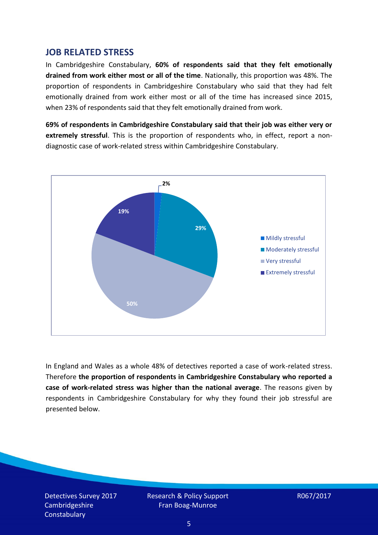### **JOB RELATED STRESS**

In Cambridgeshire Constabulary, **60% of respondents said that they felt emotionally drained from work either most or all of the time**. Nationally, this proportion was 48%. The proportion of respondents in Cambridgeshire Constabulary who said that they had felt emotionally drained from work either most or all of the time has increased since 2015, when 23% of respondents said that they felt emotionally drained from work.

**69% of respondents in Cambridgeshire Constabulary said that their job was either very or extremely stressful**. This is the proportion of respondents who, in effect, report a nondiagnostic case of work-related stress within Cambridgeshire Constabulary.



In England and Wales as a whole 48% of detectives reported a case of work-related stress. Therefore **the proportion of respondents in Cambridgeshire Constabulary who reported a case of work-related stress was higher than the national average**. The reasons given by respondents in Cambridgeshire Constabulary for why they found their job stressful are presented below.

Detectives Survey 2017 Cambridgeshire **Constabulary**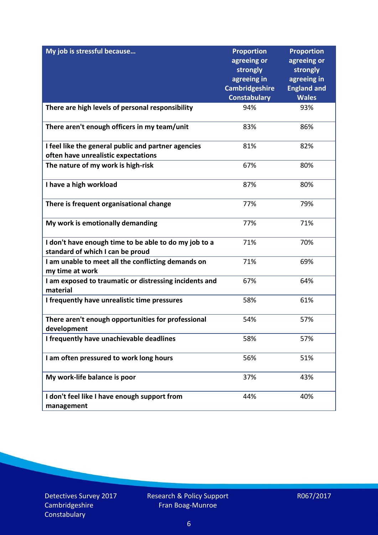| My job is stressful because                                                               | <b>Proportion</b>                    | <b>Proportion</b>                 |
|-------------------------------------------------------------------------------------------|--------------------------------------|-----------------------------------|
|                                                                                           | agreeing or                          | agreeing or                       |
|                                                                                           | strongly                             | strongly                          |
|                                                                                           | agreeing in<br><b>Cambridgeshire</b> | agreeing in<br><b>England and</b> |
|                                                                                           | <b>Constabulary</b>                  | <b>Wales</b>                      |
| There are high levels of personal responsibility                                          | 94%                                  | 93%                               |
|                                                                                           |                                      |                                   |
| There aren't enough officers in my team/unit                                              | 83%                                  | 86%                               |
| I feel like the general public and partner agencies                                       | 81%                                  | 82%                               |
| often have unrealistic expectations                                                       |                                      |                                   |
| The nature of my work is high-risk                                                        | 67%                                  | 80%                               |
| I have a high workload                                                                    | 87%                                  | 80%                               |
| There is frequent organisational change                                                   | 77%                                  | 79%                               |
| My work is emotionally demanding                                                          | 77%                                  | 71%                               |
| I don't have enough time to be able to do my job to a<br>standard of which I can be proud | 71%                                  | 70%                               |
| I am unable to meet all the conflicting demands on                                        | 71%                                  | 69%                               |
| my time at work                                                                           |                                      |                                   |
| I am exposed to traumatic or distressing incidents and<br>material                        | 67%                                  | 64%                               |
| I frequently have unrealistic time pressures                                              | 58%                                  | 61%                               |
| There aren't enough opportunities for professional<br>development                         | 54%                                  | 57%                               |
| I frequently have unachievable deadlines                                                  | 58%                                  | 57%                               |
| I am often pressured to work long hours                                                   | 56%                                  | 51%                               |
| My work-life balance is poor                                                              | 37%                                  | 43%                               |
| I don't feel like I have enough support from<br>management                                | 44%                                  | 40%                               |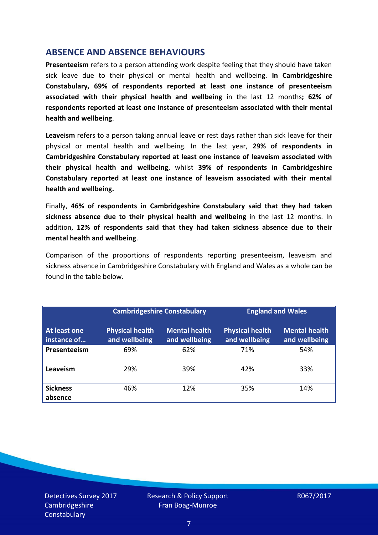## **ABSENCE AND ABSENCE BEHAVIOURS**

**Presenteeism** refers to a person attending work despite feeling that they should have taken sick leave due to their physical or mental health and wellbeing. **In Cambridgeshire Constabulary, 69% of respondents reported at least one instance of presenteeism associated with their physical health and wellbeing** in the last 12 months**; 62% of respondents reported at least one instance of presenteeism associated with their mental health and wellbeing**.

**Leaveism** refers to a person taking annual leave or rest days rather than sick leave for their physical or mental health and wellbeing. In the last year, **29% of respondents in Cambridgeshire Constabulary reported at least one instance of leaveism associated with their physical health and wellbeing**, whilst **39% of respondents in Cambridgeshire Constabulary reported at least one instance of leaveism associated with their mental health and wellbeing.**

Finally, **46% of respondents in Cambridgeshire Constabulary said that they had taken sickness absence due to their physical health and wellbeing** in the last 12 months. In addition, **12% of respondents said that they had taken sickness absence due to their mental health and wellbeing**.

Comparison of the proportions of respondents reporting presenteeism, leaveism and sickness absence in Cambridgeshire Constabulary with England and Wales as a whole can be found in the table below.

|                             | <b>Cambridgeshire Constabulary</b>      |                                       | <b>England and Wales</b>                |                                       |
|-----------------------------|-----------------------------------------|---------------------------------------|-----------------------------------------|---------------------------------------|
| At least one<br>instance of | <b>Physical health</b><br>and wellbeing | <b>Mental health</b><br>and wellbeing | <b>Physical health</b><br>and wellbeing | <b>Mental health</b><br>and wellbeing |
| Presenteeism                | 69%                                     | 62%                                   | 71%                                     | 54%                                   |
| Leaveism                    | 29%                                     | 39%                                   | 42%                                     | 33%                                   |
| <b>Sickness</b><br>absence  | 46%                                     | 12%                                   | 35%                                     | 14%                                   |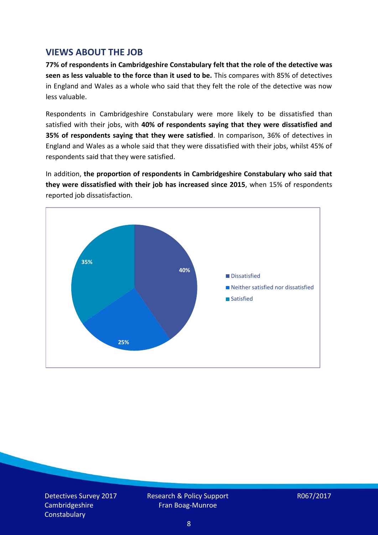## **VIEWS ABOUT THE JOB**

**77% of respondents in Cambridgeshire Constabulary felt that the role of the detective was seen as less valuable to the force than it used to be.** This compares with 85% of detectives in England and Wales as a whole who said that they felt the role of the detective was now less valuable.

Respondents in Cambridgeshire Constabulary were more likely to be dissatisfied than satisfied with their jobs, with **40% of respondents saying that they were dissatisfied and 35% of respondents saying that they were satisfied**. In comparison, 36% of detectives in England and Wales as a whole said that they were dissatisfied with their jobs, whilst 45% of respondents said that they were satisfied.

In addition, **the proportion of respondents in Cambridgeshire Constabulary who said that they were dissatisfied with their job has increased since 2015**, when 15% of respondents reported job dissatisfaction.



Detectives Survey 2017 Cambridgeshire **Constabulary** 

Research & Policy Support Fran Boag-Munroe

R067/2017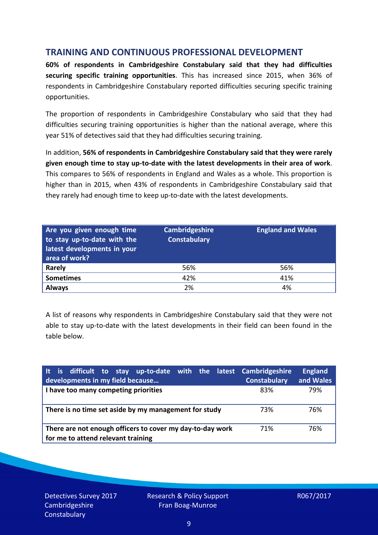## **TRAINING AND CONTINUOUS PROFESSIONAL DEVELOPMENT**

**60% of respondents in Cambridgeshire Constabulary said that they had difficulties securing specific training opportunities**. This has increased since 2015, when 36% of respondents in Cambridgeshire Constabulary reported difficulties securing specific training opportunities.

The proportion of respondents in Cambridgeshire Constabulary who said that they had difficulties securing training opportunities is higher than the national average, where this year 51% of detectives said that they had difficulties securing training.

In addition, **56% of respondents in Cambridgeshire Constabulary said that they were rarely given enough time to stay up-to-date with the latest developments in their area of work**. This compares to 56% of respondents in England and Wales as a whole. This proportion is higher than in 2015, when 43% of respondents in Cambridgeshire Constabulary said that they rarely had enough time to keep up-to-date with the latest developments.

| Are you given enough time<br>to stay up-to-date with the<br>latest developments in your<br>area of work? | Cambridgeshire<br><b>Constabulary</b> | <b>England and Wales</b> |
|----------------------------------------------------------------------------------------------------------|---------------------------------------|--------------------------|
| Rarely                                                                                                   | 56%                                   | 56%                      |
| <b>Sometimes</b>                                                                                         | 42%                                   | 41%                      |
| <b>Always</b>                                                                                            | 2%                                    | 4%                       |

A list of reasons why respondents in Cambridgeshire Constabulary said that they were not able to stay up-to-date with the latest developments in their field can been found in the table below.

| It is difficult to stay up-to-date with the latest Cambridgeshire<br>developments in my field because | <b>Constabulary</b> | <b>England</b><br>and Wales |
|-------------------------------------------------------------------------------------------------------|---------------------|-----------------------------|
| I have too many competing priorities                                                                  | 83%                 | 79%                         |
| There is no time set aside by my management for study                                                 | 73%                 | 76%                         |
| There are not enough officers to cover my day-to-day work<br>for me to attend relevant training       | 71%                 | 76%                         |

Detectives Survey 2017 Cambridgeshire **Constabulary**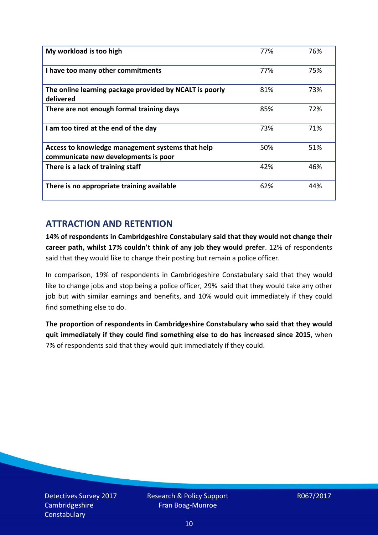| My workload is too high                                                                  | 77% | 76% |
|------------------------------------------------------------------------------------------|-----|-----|
| I have too many other commitments                                                        | 77% | 75% |
| The online learning package provided by NCALT is poorly<br>delivered                     | 81% | 73% |
| There are not enough formal training days                                                | 85% | 72% |
| I am too tired at the end of the day                                                     | 73% | 71% |
| Access to knowledge management systems that help<br>communicate new developments is poor | 50% | 51% |
| There is a lack of training staff                                                        | 42% | 46% |
| There is no appropriate training available                                               | 62% | 44% |

# **ATTRACTION AND RETENTION**

**14% of respondents in Cambridgeshire Constabulary said that they would not change their career path, whilst 17% couldn't think of any job they would prefer**. 12% of respondents said that they would like to change their posting but remain a police officer.

In comparison, 19% of respondents in Cambridgeshire Constabulary said that they would like to change jobs and stop being a police officer, 29% said that they would take any other job but with similar earnings and benefits, and 10% would quit immediately if they could find something else to do.

**The proportion of respondents in Cambridgeshire Constabulary who said that they would quit immediately if they could find something else to do has increased since 2015**, when 7% of respondents said that they would quit immediately if they could.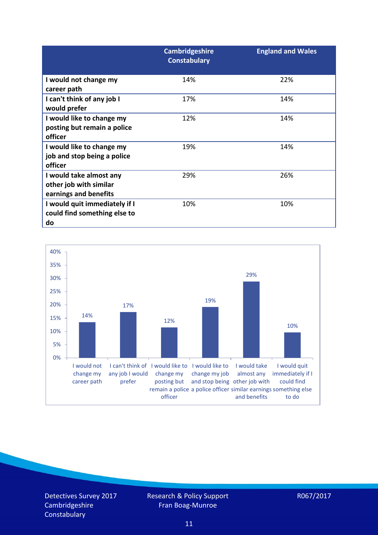|                                                                            | <b>Cambridgeshire</b><br><b>Constabulary</b> | <b>England and Wales</b> |
|----------------------------------------------------------------------------|----------------------------------------------|--------------------------|
| I would not change my<br>career path                                       | 14%                                          | 22%                      |
| I can't think of any job I<br>would prefer                                 | 17%                                          | 14%                      |
| I would like to change my<br>posting but remain a police<br>officer        | 12%                                          | 14%                      |
| I would like to change my<br>job and stop being a police<br>officer        | 19%                                          | 14%                      |
| I would take almost any<br>other job with similar<br>earnings and benefits | 29%                                          | 26%                      |
| I would quit immediately if I<br>could find something else to<br>do        | 10%                                          | 10%                      |